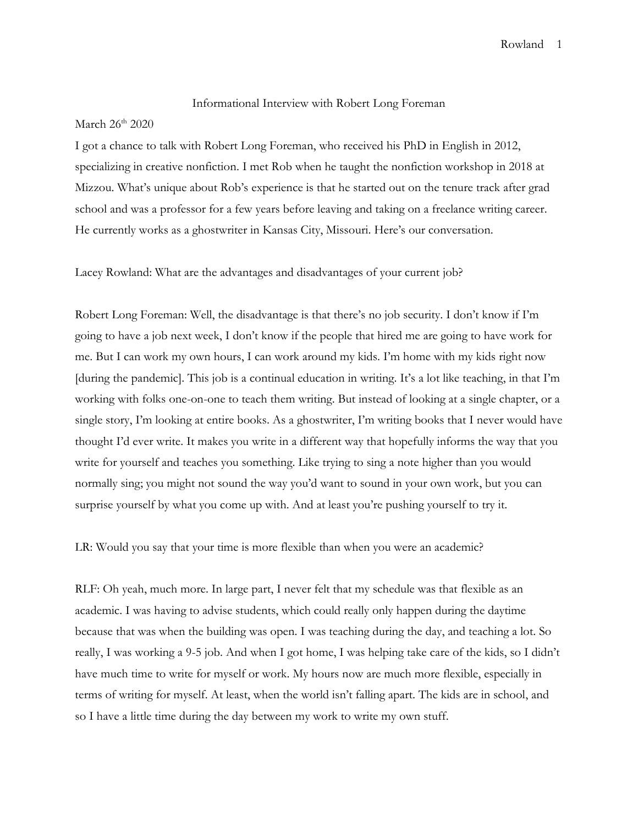## Informational Interview with Robert Long Foreman

## March  $26<sup>th</sup> 2020$

I got a chance to talk with Robert Long Foreman, who received his PhD in English in 2012, specializing in creative nonfiction. I met Rob when he taught the nonfiction workshop in 2018 at Mizzou. What's unique about Rob's experience is that he started out on the tenure track after grad school and was a professor for a few years before leaving and taking on a freelance writing career. He currently works as a ghostwriter in Kansas City, Missouri. Here's our conversation.

Lacey Rowland: What are the advantages and disadvantages of your current job?

Robert Long Foreman: Well, the disadvantage is that there's no job security. I don't know if I'm going to have a job next week, I don't know if the people that hired me are going to have work for me. But I can work my own hours, I can work around my kids. I'm home with my kids right now [during the pandemic]. This job is a continual education in writing. It's a lot like teaching, in that I'm working with folks one-on-one to teach them writing. But instead of looking at a single chapter, or a single story, I'm looking at entire books. As a ghostwriter, I'm writing books that I never would have thought I'd ever write. It makes you write in a different way that hopefully informs the way that you write for yourself and teaches you something. Like trying to sing a note higher than you would normally sing; you might not sound the way you'd want to sound in your own work, but you can surprise yourself by what you come up with. And at least you're pushing yourself to try it.

LR: Would you say that your time is more flexible than when you were an academic?

RLF: Oh yeah, much more. In large part, I never felt that my schedule was that flexible as an academic. I was having to advise students, which could really only happen during the daytime because that was when the building was open. I was teaching during the day, and teaching a lot. So really, I was working a 9-5 job. And when I got home, I was helping take care of the kids, so I didn't have much time to write for myself or work. My hours now are much more flexible, especially in terms of writing for myself. At least, when the world isn't falling apart. The kids are in school, and so I have a little time during the day between my work to write my own stuff.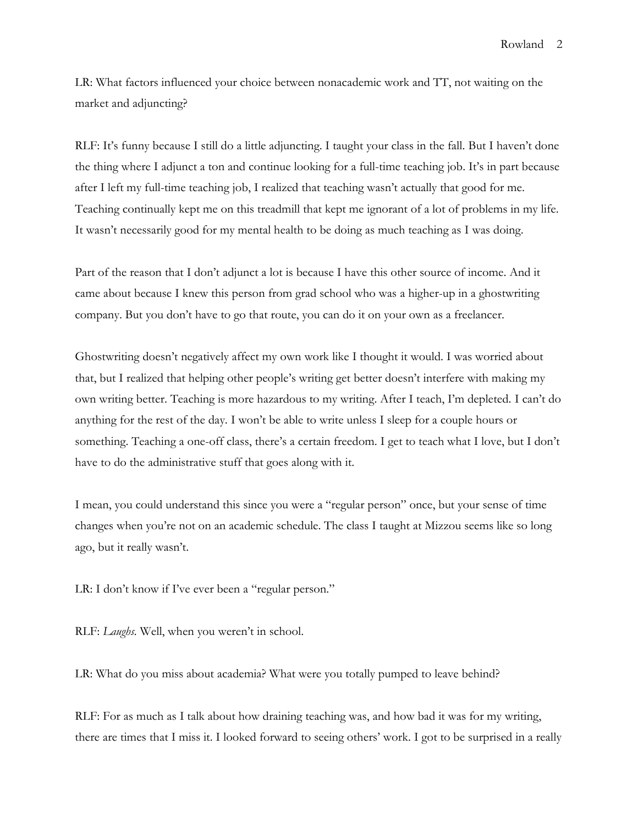LR: What factors influenced your choice between nonacademic work and TT, not waiting on the market and adjuncting?

RLF: It's funny because I still do a little adjuncting. I taught your class in the fall. But I haven't done the thing where I adjunct a ton and continue looking for a full-time teaching job. It's in part because after I left my full-time teaching job, I realized that teaching wasn't actually that good for me. Teaching continually kept me on this treadmill that kept me ignorant of a lot of problems in my life. It wasn't necessarily good for my mental health to be doing as much teaching as I was doing.

Part of the reason that I don't adjunct a lot is because I have this other source of income. And it came about because I knew this person from grad school who was a higher-up in a ghostwriting company. But you don't have to go that route, you can do it on your own as a freelancer.

Ghostwriting doesn't negatively affect my own work like I thought it would. I was worried about that, but I realized that helping other people's writing get better doesn't interfere with making my own writing better. Teaching is more hazardous to my writing. After I teach, I'm depleted. I can't do anything for the rest of the day. I won't be able to write unless I sleep for a couple hours or something. Teaching a one-off class, there's a certain freedom. I get to teach what I love, but I don't have to do the administrative stuff that goes along with it.

I mean, you could understand this since you were a "regular person" once, but your sense of time changes when you're not on an academic schedule. The class I taught at Mizzou seems like so long ago, but it really wasn't.

LR: I don't know if I've ever been a "regular person."

RLF: *Laughs.* Well, when you weren't in school.

LR: What do you miss about academia? What were you totally pumped to leave behind?

RLF: For as much as I talk about how draining teaching was, and how bad it was for my writing, there are times that I miss it. I looked forward to seeing others' work. I got to be surprised in a really